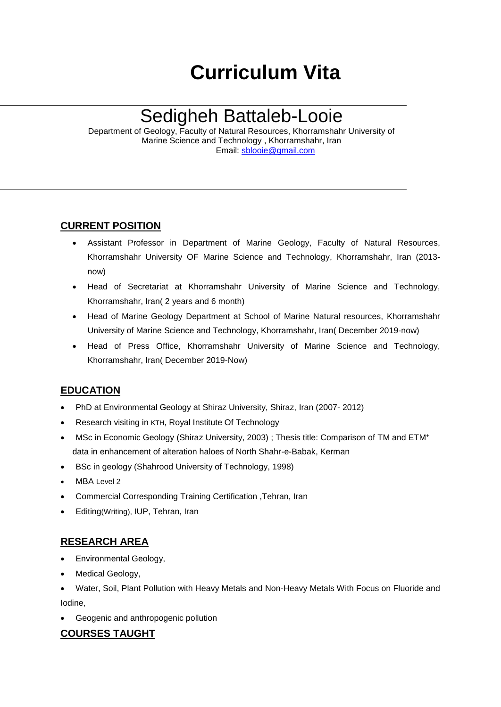# **Curriculum Vita**

## Sedigheh Battaleb-Looie

Department of Geology, Faculty of Natural Resources, [Khorramshahr](http://www.4icu.org/reviews/10419.htm) University of [Marine Science and Technology ,](http://www.4icu.org/reviews/10419.htm) Khorramshahr, Iran Email: [sblooie@gmail.com](mailto:sblooie@gmail.com)

## **CURRENT POSITION**

- Assistant Professor in Department of Marine Geology, Faculty of Natural Resources, Khorramshahr University OF [Marine Science and Technology,](http://www.4icu.org/reviews/10419.htm) Khorramshahr, Iran (2013 now)
- Head of Secretariat at Khorramshahr University of [Marine Science and Technology,](http://www.4icu.org/reviews/10419.htm) Khorramshahr, Iran( 2 years and 6 month)
- Head of Marine Geology Department at School of Marine Natural resources, [Khorramshahr](http://www.4icu.org/reviews/10419.htm)  University of [Marine Science and Technology,](http://www.4icu.org/reviews/10419.htm) Khorramshahr, Iran( December 2019-now)
- Head of Press Office, Khorramshahr University of [Marine Science and Technology,](http://www.4icu.org/reviews/10419.htm) Khorramshahr, Iran( December 2019-Now)

## **EDUCATION**

- PhD at Environmental Geology at Shiraz University, Shiraz, Iran (2007- 2012)
- Research visiting in KTH, Royal Institute Of Technology
- MSc in Economic Geology (Shiraz University, 2003) ; Thesis title: Comparison of TM and ETM<sup>+</sup> data in enhancement of alteration haloes of North Shahr-e-Babak, Kerman
- BSc in geology [\(Shahrood University of Technology,](http://www.google.com/url?sa=t&rct=j&q=%D8%AF%D8%A7%D9%86%D8%B4%DA%AF%D8%A7%D9%87+%D8%B5%D9%86%D8%B9%D8%AA%DB%8C+%D8%B4%D8%A7%D9%87%D8%B1%D9%88%D8%AF&source=web&cd=1&ved=0CB0QFjAA&url=http%3A%2F%2Fwww.shahroodut.ac.ir%2F&ei=11EQT4KYGaTRiAKEr6SDDQ&usg=AFQjCNFqsmDkmrvB8mT6mMlR0HVwQnErHA&cad=rja) 1998)
- MBA Level 2
- Commercial Corresponding Training Certification ,Tehran, Iran
- Editing(Writing), IUP, Tehran, Iran

## **RESEARCH AREA**

- Environmental Geology,
- Medical Geology,
- Water, Soil, Plant Pollution with Heavy Metals and Non-Heavy Metals With Focus on Fluoride and Iodine,
- Geogenic and anthropogenic pollution

## **COURSES TAUGHT**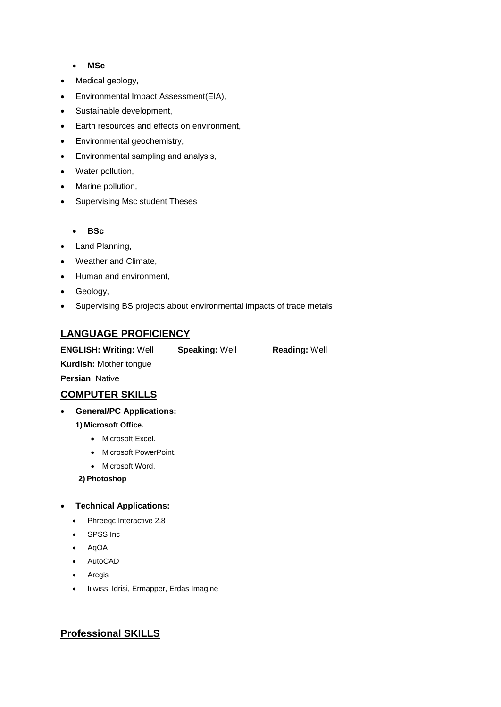#### **MSc**

- Medical geology,
- Environmental Impact Assessment(EIA),
- Sustainable development,
- Earth resources and effects on environment,
- Environmental geochemistry,
- Environmental sampling and analysis,
- Water pollution,
- Marine pollution,
- Supervising Msc student Theses

#### **BSc**

- Land Planning,
- Weather and Climate,
- Human and environment,
- Geology,
- Supervising BS projects about environmental impacts of trace metals

## **LANGUAGE PROFICIENCY**

**ENGLISH: Writing:** Well **Speaking:** Well **Reading:** Well

**Persian**: Native

#### **COMPUTER SKILLS**

**Kurdish:** Mother tongue

#### **General/PC Applications:**

#### **1) Microsoft Office.**

- Microsoft Excel.
- Microsoft PowerPoint.
- Microsoft Word.

**2) Photoshop**

#### **Technical Applications:**

- Phreegc Interactive 2.8
- SPSS Inc
- AqQA
- AutoCAD
- Arcgis
- ILWISS, Idrisi, Ermapper, Erdas Imagine

#### **Professional SKILLS**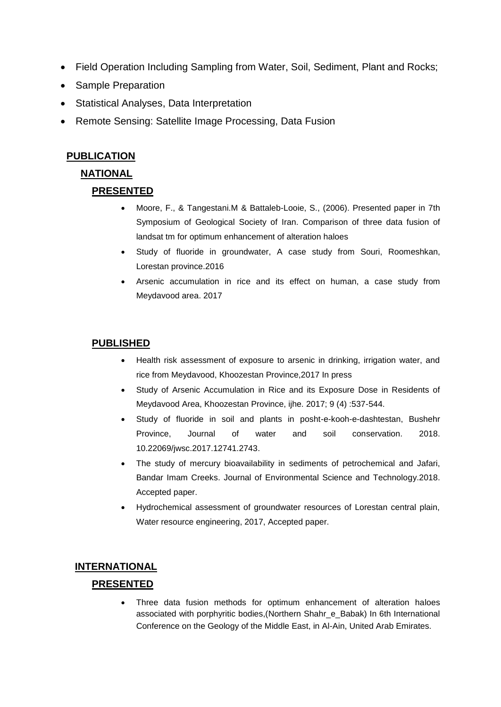- Field Operation Including Sampling from Water, Soil, Sediment, Plant and Rocks;
- Sample Preparation
- Statistical Analyses, Data Interpretation
- Remote Sensing: Satellite Image Processing, Data Fusion

## **PUBLICATION**

## **NATIONAL**

## **PRESENTED**

- Moore, F., & Tangestani.M & Battaleb-Looie, S., (2006). Presented paper in 7th Symposium of Geological Society of Iran. Comparison of three data fusion of landsat tm for optimum enhancement of alteration haloes
- Study of fluoride in groundwater, A case study from Souri, Roomeshkan, Lorestan province.2016
- Arsenic accumulation in rice and its effect on human, a case study from Meydavood area. 2017

## **PUBLISHED**

- Health risk assessment of exposure to arsenic in drinking, irrigation water, and rice from Meydavood, Khoozestan Province,2017 In press
- Study of Arsenic Accumulation in Rice and its Exposure Dose in Residents of Meydavood Area, Khoozestan Province, ijhe. 2017; 9 (4) :537-544.
- Study of fluoride in soil and plants in posht-e-kooh-e-dashtestan, Bushehr Province, Journal of water and soil conservation. 2018. [10.22069/jwsc.2017.12741.2743.](http://dx.doi.org/10.22069/jwsc.2017.12741.2743)
- The study of mercury bioavailability in sediments of petrochemical and Jafari, Bandar Imam Creeks. Journal of Environmental Science and Technology.2018. Accepted paper.
- Hydrochemical assessment of groundwater resources of Lorestan central plain, Water resource engineering, 2017, Accepted paper.

## **INTERNATIONAL PRESENTED**

 Three data fusion methods for optimum enhancement of alteration haloes associated with porphyritic bodies,(Northern Shahr\_e\_Babak) In 6th International Conference on the Geology of the Middle East, in Al-Ain, United Arab Emirates.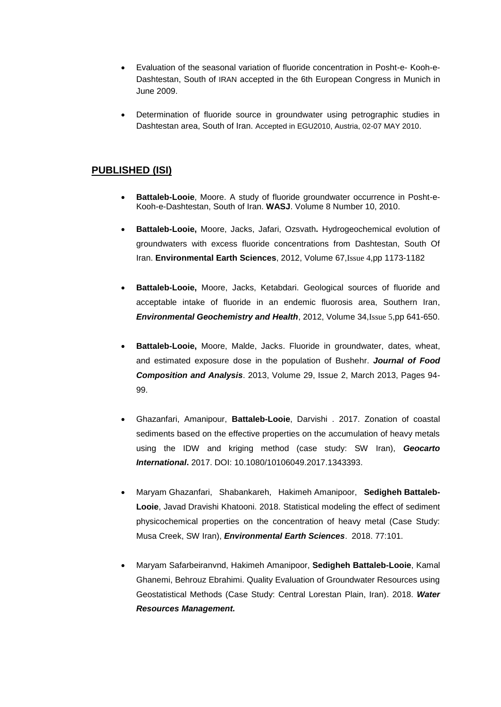- Evaluation of the seasonal variation of fluoride concentration in Posht-e- Kooh-e-Dashtestan, South of IRAN accepted in the 6th European Congress in Munich in June 2009.
- Determination of fluoride source in groundwater using petrographic studies in Dashtestan area, South of Iran. Accepted in EGU2010, Austria, 02-07 MAY 2010.

#### **PUBLISHED (ISI)**

- **Battaleb-Looie**, Moore. A study of fluoride groundwater occurrence in Posht-e-Kooh-e-Dashtestan, South of Iran. **WASJ**[. Volume 8 Number 10, 2010.](http://www.idosi.org/wasj/wasj8%2811%292010.htm)
- **Battaleb-Looie,** Moore, Jacks, Jafari, Ozsvath**.** Hydrogeochemical evolution of groundwaters with excess fluoride concentrations from Dashtestan, South Of Iran. **Environmental Earth Sciences**, 2012, Volume 67,[Issue 4](http://link.springer.com/journal/12665/67/4/page/1),pp 1173-1182
- **Battaleb-Looie,** Moore, Jacks, Ketabdari. Geological sources of fluoride and acceptable intake of fluoride in an endemic fluorosis area, Southern Iran, *Environmental Geochemistry and Health*, 2012, Volume 34,[Issue 5](http://link.springer.com/journal/10653/34/5/page/1),pp 641-650.
- **Battaleb-Looie,** Moore, Malde, Jacks. Fluoride in groundwater, dates, wheat, and estimated exposure dose in the population of Bushehr. *Journal of Food Composition and Analysis*. 2013, Volume 29, Issue 2, March 2013, Pages 94- 99.
- Ghazanfari, Amanipour, **Battaleb-Looie**, Darvishi . 2017. Zonation of coastal sediments based on the effective properties on the accumulation of heavy metals using the IDW and kriging method (case study: SW Iran), *[Geocarto](https://www.tandfonline.com/toc/tgei20/current)  [International](https://www.tandfonline.com/toc/tgei20/current)***.** 2017. DOI: 10.1080/10106049.2017.1343393.
- Maryam Ghazanfari, Shabankareh, Hakimeh Amanipoor, **Sedigheh Battaleb-Looie**, Javad Dravishi Khatooni. 2018. Statistical modeling the effect of sediment physicochemical properties on the concentration of heavy metal (Case Study: Musa Creek, SW Iran), *[Environmental Earth Sciences](https://link.springer.com/journal/12665)*. 2018. 77:101.
- Maryam Safarbeiranvnd, Hakimeh Amanipoor, **Sedigheh Battaleb-Looie**, Kamal Ghanemi, Behrouz Ebrahimi. Quality Evaluation of Groundwater Resources using Geostatistical Methods (Case Study: Central Lorestan Plain, Iran). 2018. *Water Resources Management.*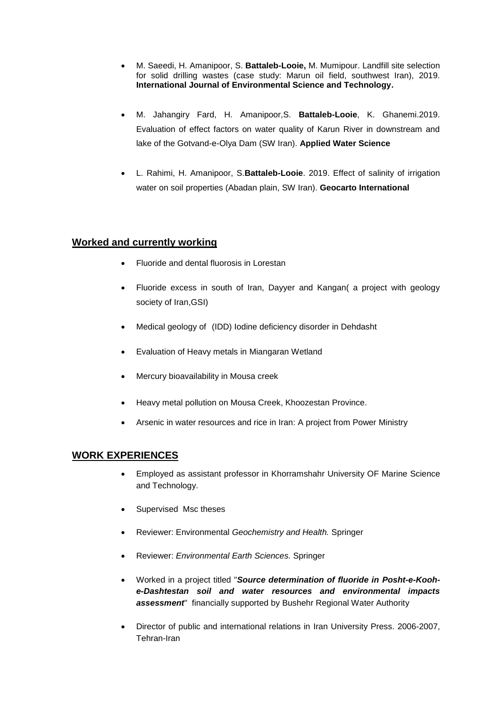- M. Saeedi, H. Amanipoor, S. **Battaleb-Looie,** M. Mumipour. Landfill site selection for solid drilling wastes (case study: Marun oil field, southwest Iran), 2019. **International Journal of Environmental Science and Technology.**
- M. Jahangiry Fard, H. Amanipoor,S. **Battaleb-Looie**, K. Ghanemi.2019. Evaluation of effect factors on water quality of Karun River in downstream and lake of the Gotvand-e-Olya Dam (SW Iran). **Applied Water Science**
- L. Rahimi, H. Amanipoor, S.**Battaleb-Looie**. 2019. Effect of salinity of irrigation water on soil properties (Abadan plain, SW Iran). **Geocarto International**

#### **Worked and currently working**

- Fluoride and dental fluorosis in Lorestan
- Fluoride excess in south of Iran, Dayyer and Kangan( a project with geology society of Iran,GSI)
- Medical geology of (IDD) Iodine deficiency disorder in Dehdasht
- Evaluation of Heavy metals in Miangaran Wetland
- Mercury bioavailability in Mousa creek
- Heavy metal pollution on Mousa Creek, Khoozestan Province.
- Arsenic in water resources and rice in Iran: A project from Power Ministry

#### **WORK EXPERIENCES**

- Employed as assistant professor in [Khorramshahr University OF Marine Science](http://www.4icu.org/reviews/10419.htm)  [and Technology.](http://www.4icu.org/reviews/10419.htm)
- Supervised Msc theses
- Reviewer: Environmental *Geochemistry and Health.* Springer
- Reviewer: *Environmental Earth Sciences.* Springer
- Worked in a project titled "*Source determination of fluoride in Posht-e-Koohe-Dashtestan soil and water resources and environmental impacts assessment*" financially supported by Bushehr Regional Water Authority
- Director of public and international relations in Iran University Press. 2006-2007, Tehran-Iran